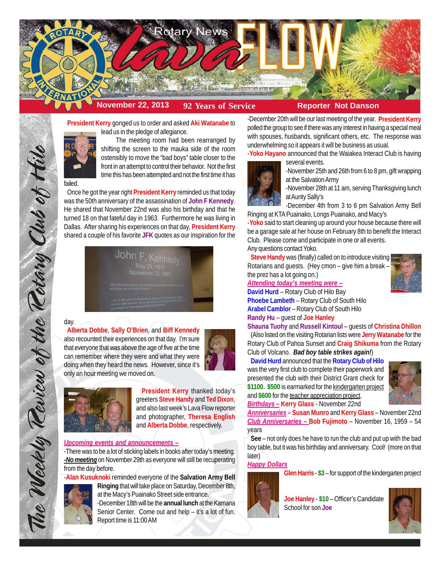

**President Kerry** gonged us to order and asked **Aki Watanabe** to lead us in the pledge of allegiance.

The meeting room had been rearranged by shifting the screen to the mauka side of the room ostensibly to move the "bad boys" table closer to the front in an attempt to control their behavior. Not the first time this has been attempted and not the first time it has

#### failed.

Once he got the year right **President Kerry** reminded us that today was the 50th anniversary of the assassination of **John F Kennedy**. He shared that November 22nd was also his birthday and that he turned 18 on that fateful day in 1963. Furthermore he was living in Dallas. After sharing his experiences on that day, **President Kerry** shared a couple of his favorite **JFK** quotes as our inspiration for the

| John F. Kennedy<br>May 29, 1917<br>November 22,1963                                                                                                                                         |  |
|---------------------------------------------------------------------------------------------------------------------------------------------------------------------------------------------|--|
| "My fellow Americans, ask not what you comey be defining ask what you can do for your county."                                                                                              |  |
| "Let us not seek the Republican answer or the Democratic and<br>but the right arraver, Let us not seek to fix the blane by the part is<br>us accorpt our own responsibility for the future. |  |

## day.

The Weekly Review of the Rotary Club of Hill

**Alberta Dobbe**, **Sally O'Brien**, and **Biff Kennedy** also recounted their experiences on that day. I'm sure that everyone that was above the age of five at the time can remember where they were and what they were doing when they heard the news. However, since it's only an hour meeting we moved on.





**President Kerry** thanked today's greeters **Steve Handy** and **Ted Dixon**, and also last week's Lava Flow reporter and photographer, **Theresa English** and **Alberta Dobbe**, respectively.

## *Upcoming events and announcements –*

-There was to be a lot of sticking labels in books after today's meeting. *-No meeting* on November 29th as everyone will still be recuperating from the day before.

-**Alan Kusuknoki** reminded everyone of the **Salvation Army Bell Ringing** that will take place on Saturday, December 8th,



at the Macy's Puainako Street side entrance. -December 18th will be the **annual lunch** at the Kamana Senior Center. Come out and help – it's a lot of fun. Report time is 11:00 AM

-December 20th will be our last meeting of the year. **President Kerry** polled the group to see if there was any interest in having a special meal with spouses, husbands, significant others, etc. The response was underwhelming so it appears it will be business as usual.

-**Yoko Hayano** announced that the Waiakea Interact Club is having several events.



-November 25th and 26th from 6 to 8 pm, gift wrapping at the Salvation Army

-November 28th at 11 am, serving Thanksgiving lunch at Aunty Sally's

-December 4th from 3 to 6 pm Salvation Army Bell Ringing at KTA Puainako, Longs Puainako, and Macy's

-**Yoko** said to start cleaning up around your house because there will be a garage sale at her house on February 8th to benefit the Interact Club. Please come and participate in one or all events.

Any questions contact Yoko.

**Steve Handy** was (finally) called on to introduce visiting Rotarians and guests. (Hey cmon – give him a break – the prez has a lot going on.)



*Attending today's meeting were –* **David Hurd** – Rotary Club of Hilo Bay **Phoebe Lambeth** – Rotary Club of South Hilo

**Arabel Camblor** – Rotary Club of South Hilo **Randy Hu** – guest of **Joe Hanley**

**Shauna Tuohy** and **Russell Kintoul** – guests of **Christina Dhillon** (Also listed on the visiting Rotarian lists were **Jerry Watanabe** for the Rotary Club of Pahoa Sunset and **Craig Shikuma** from the Rotary Club of Volcano. *Bad boy table strikes again!*)

# **David Hurd** announced that the **Rotary Club of Hilo**

was the very first club to complete their paperwork and presented the club with their District Grant check for **\$1100**. **\$500** is earmarked for the kindergarten project and **\$600** for the teacher appreciation project. *Birthdays –* **Kerry Glass** - November 22nd



*Anniversaries* **– Susan Munro** and **Kerry Glass** – November 22nd *Club Anniversaries –* **Bob Fujimoto** – November 16, 1959 – 54 years

**See** – not only does he have to run the club and put up with the bad boy table, but it was his birthday and anniversary. Cool! (more on that later)

## *Happy Dollars*

**Glen Harris** - **\$3** – for support of the kindergarten project



**Joe Hanley** - **\$10** – Officer's Candidate School for son **Joe**